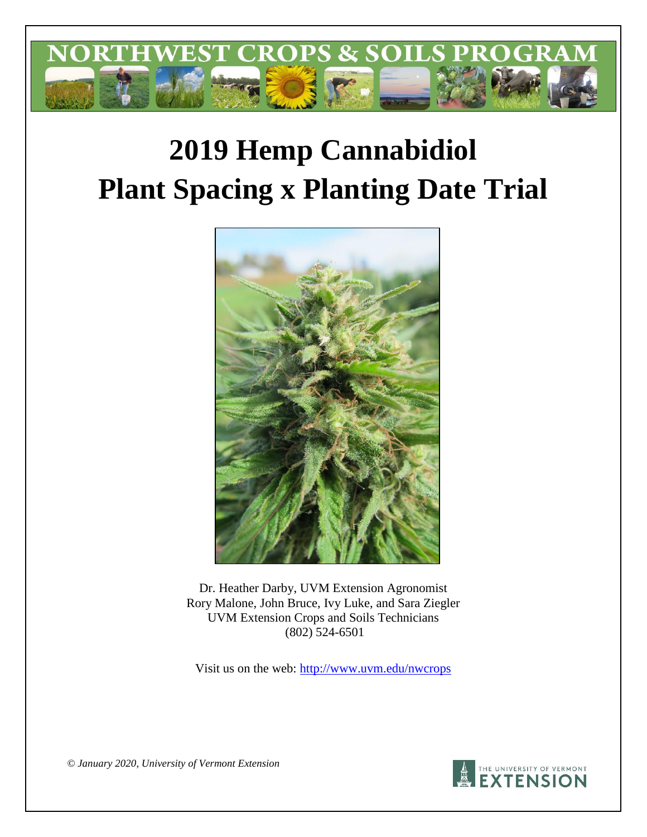

# **2019 Hemp Cannabidiol Plant Spacing x Planting Date Trial**



Dr. Heather Darby, UVM Extension Agronomist Rory Malone, John Bruce, Ivy Luke, and Sara Ziegler UVM Extension Crops and Soils Technicians (802) 524-6501

Visit us on the web:<http://www.uvm.edu/nwcrops>



*© January 2020, University of Vermont Extension*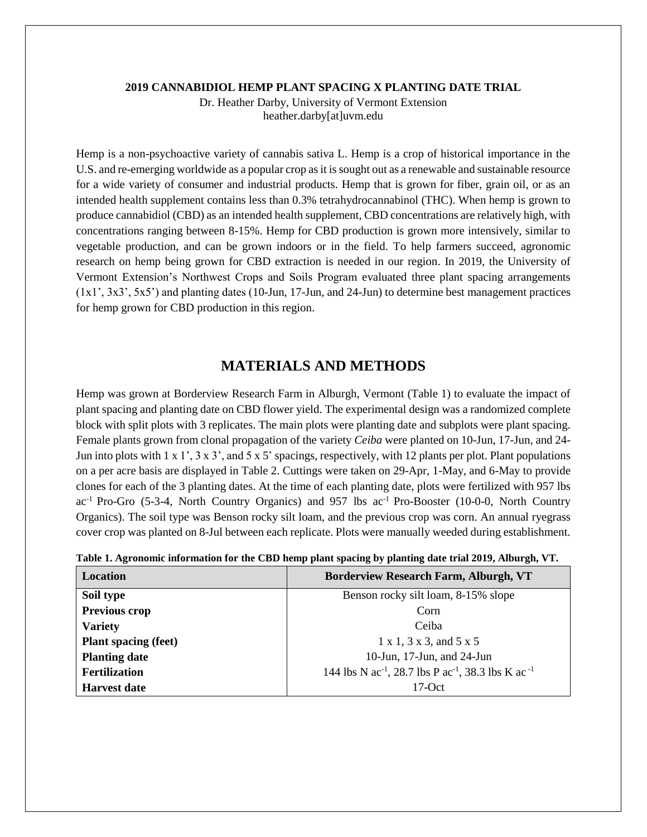#### **2019 CANNABIDIOL HEMP PLANT SPACING X PLANTING DATE TRIAL**

Dr. Heather Darby, University of Vermont Extension heather.darby[at]uvm.edu

Hemp is a non-psychoactive variety of cannabis sativa L. Hemp is a crop of historical importance in the U.S. and re-emerging worldwide as a popular crop as it is sought out as a renewable and sustainable resource for a wide variety of consumer and industrial products. Hemp that is grown for fiber, grain oil, or as an intended health supplement contains less than 0.3% tetrahydrocannabinol (THC). When hemp is grown to produce cannabidiol (CBD) as an intended health supplement, CBD concentrations are relatively high, with concentrations ranging between 8-15%. Hemp for CBD production is grown more intensively, similar to vegetable production, and can be grown indoors or in the field. To help farmers succeed, agronomic research on hemp being grown for CBD extraction is needed in our region. In 2019, the University of Vermont Extension's Northwest Crops and Soils Program evaluated three plant spacing arrangements  $(1x1', 3x3', 5x5')$  and planting dates (10-Jun, 17-Jun, and 24-Jun) to determine best management practices for hemp grown for CBD production in this region.

# **MATERIALS AND METHODS**

Hemp was grown at Borderview Research Farm in Alburgh, Vermont (Table 1) to evaluate the impact of plant spacing and planting date on CBD flower yield. The experimental design was a randomized complete block with split plots with 3 replicates. The main plots were planting date and subplots were plant spacing. Female plants grown from clonal propagation of the variety *Ceiba* were planted on 10-Jun, 17-Jun, and 24- Jun into plots with  $1 \times 1$ ,  $3 \times 3$ , and  $5 \times 5$  spacings, respectively, with 12 plants per plot. Plant populations on a per acre basis are displayed in Table 2. Cuttings were taken on 29-Apr, 1-May, and 6-May to provide clones for each of the 3 planting dates. At the time of each planting date, plots were fertilized with 957 lbs  $ac^{-1}$  Pro-Gro (5-3-4, North Country Organics) and 957 lbs  $ac^{-1}$  Pro-Booster (10-0-0, North Country Organics). The soil type was Benson rocky silt loam, and the previous crop was corn. An annual ryegrass cover crop was planted on 8-Jul between each replicate. Plots were manually weeded during establishment.

| <b>Location</b>             | <b>Borderview Research Farm, Alburgh, VT</b>                                           |
|-----------------------------|----------------------------------------------------------------------------------------|
| Soil type                   | Benson rocky silt loam, 8-15% slope                                                    |
| <b>Previous crop</b>        | Corn                                                                                   |
| <b>Variety</b>              | Ceiba                                                                                  |
| <b>Plant spacing (feet)</b> | $1 \times 1$ , $3 \times 3$ , and $5 \times 5$                                         |
| <b>Planting date</b>        | 10-Jun, 17-Jun, and 24-Jun                                                             |
| <b>Fertilization</b>        | 144 lbs N ac <sup>-1</sup> , 28.7 lbs P ac <sup>-1</sup> , 38.3 lbs K ac <sup>-1</sup> |
| <b>Harvest date</b>         | $17$ -Oct                                                                              |

|  |  |  |  | Table 1. Agronomic information for the CBD hemp plant spacing by planting date trial 2019, Alburgh, VT. |  |
|--|--|--|--|---------------------------------------------------------------------------------------------------------|--|
|  |  |  |  |                                                                                                         |  |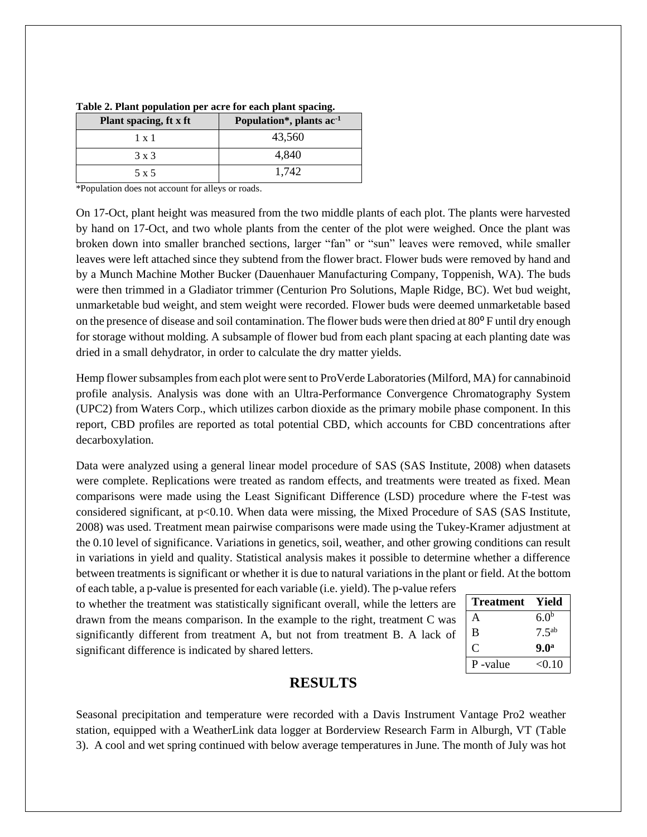| Plant spacing, ft x ft | Population <sup>*</sup> , plants ac <sup>1</sup> |
|------------------------|--------------------------------------------------|
| $1 \times 1$           | 43,560                                           |
| 3 x 3                  | 4.840                                            |
| 5 x 5                  | 1.742                                            |

**Table 2. Plant population per acre for each plant spacing.**

\*Population does not account for alleys or roads.

On 17-Oct, plant height was measured from the two middle plants of each plot. The plants were harvested by hand on 17-Oct, and two whole plants from the center of the plot were weighed. Once the plant was broken down into smaller branched sections, larger "fan" or "sun" leaves were removed, while smaller leaves were left attached since they subtend from the flower bract. Flower buds were removed by hand and by a Munch Machine Mother Bucker (Dauenhauer Manufacturing Company, Toppenish, WA). The buds were then trimmed in a Gladiator trimmer (Centurion Pro Solutions, Maple Ridge, BC). Wet bud weight, unmarketable bud weight, and stem weight were recorded. Flower buds were deemed unmarketable based on the presence of disease and soil contamination. The flower buds were then dried at  $80^{\circ}$  F until dry enough for storage without molding. A subsample of flower bud from each plant spacing at each planting date was dried in a small dehydrator, in order to calculate the dry matter yields.

Hemp flower subsamples from each plot were sent to ProVerde Laboratories (Milford, MA) for cannabinoid profile analysis. Analysis was done with an Ultra-Performance Convergence Chromatography System (UPC2) from Waters Corp., which utilizes carbon dioxide as the primary mobile phase component. In this report, CBD profiles are reported as total potential CBD, which accounts for CBD concentrations after decarboxylation.

Data were analyzed using a general linear model procedure of SAS (SAS Institute, 2008) when datasets were complete. Replications were treated as random effects, and treatments were treated as fixed. Mean comparisons were made using the Least Significant Difference (LSD) procedure where the F-test was considered significant, at  $p<0.10$ . When data were missing, the Mixed Procedure of SAS (SAS Institute, 2008) was used. Treatment mean pairwise comparisons were made using the Tukey-Kramer adjustment at the 0.10 level of significance. Variations in genetics, soil, weather, and other growing conditions can result in variations in yield and quality. Statistical analysis makes it possible to determine whether a difference between treatments is significant or whether it is due to natural variations in the plant or field. At the bottom of each table, a p-value is presented for each variable (i.e. yield). The p-value refers

to whether the treatment was statistically significant overall, while the letters are drawn from the means comparison. In the example to the right, treatment C was significantly different from treatment A, but not from treatment B. A lack of significant difference is indicated by shared letters.

| <b>Treatment</b> | Yield            |
|------------------|------------------|
| А                | 6.0 <sup>b</sup> |
| B                | $7.5^{ab}$       |
| C.               | 9.0 <sup>a</sup> |
| P-value          | < 0.10           |

# **RESULTS**

Seasonal precipitation and temperature were recorded with a Davis Instrument Vantage Pro2 weather station, equipped with a WeatherLink data logger at Borderview Research Farm in Alburgh, VT (Table 3). A cool and wet spring continued with below average temperatures in June. The month of July was hot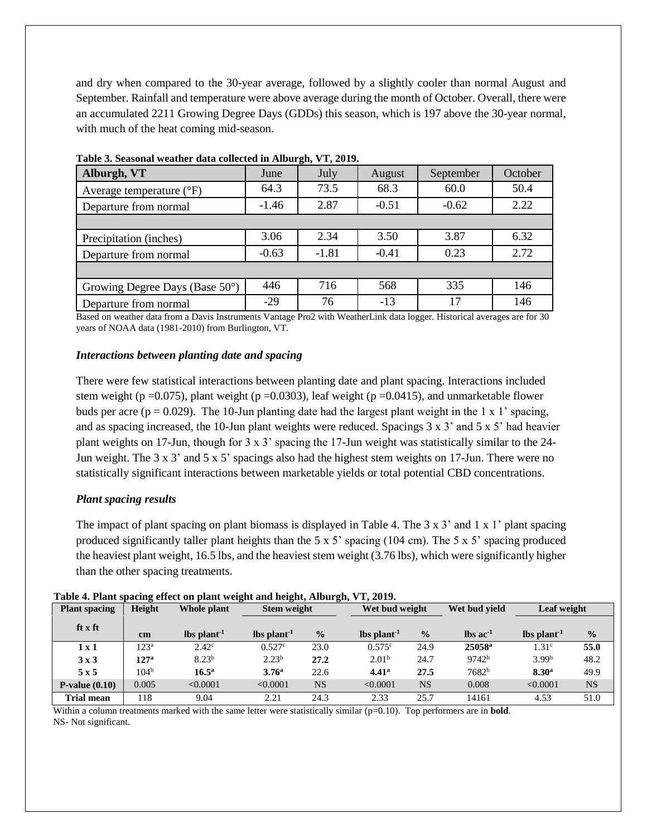and dry when compared to the 30-year average, followed by a slightly cooler than normal August and September. Rainfall and temperature were above average during the month of October. Overall, there were an accumulated 2211 Growing Degree Days (GDDs) this season, which is 197 above the 30-year normal, with much of the heat coming mid-season.

| Alburgh, VT                       | June    | July    | August  | September | October |
|-----------------------------------|---------|---------|---------|-----------|---------|
| Average temperature $(^{\circ}F)$ | 64.3    | 73.5    | 68.3    | 60.0      | 50.4    |
| Departure from normal             | $-1.46$ | 2.87    | $-0.51$ | $-0.62$   | 2.22    |
|                                   |         |         |         |           |         |
| Precipitation (inches)            | 3.06    | 2.34    | 3.50    | 3.87      | 6.32    |
| Departure from normal             | $-0.63$ | $-1.81$ | $-0.41$ | 0.23      | 2.72    |
|                                   |         |         |         |           |         |
| Growing Degree Days (Base 50°)    | 446     | 716     | 568     | 335       | 146     |
| Departure from normal             | $-29$   | 76      | $-13$   | 17        | 146     |

**Table 3. Seasonal weather data collected in Alburgh, VT, 2019.**

Based on weather data from a Davis Instruments Vantage Pro2 with WeatherLink data logger. Historical averages are for 30 years of NOAA data (1981-2010) from Burlington, VT.

## *Interactions between planting date and spacing*

There were few statistical interactions between planting date and plant spacing. Interactions included stem weight (p =0.075), plant weight (p =0.0303), leaf weight (p =0.0415), and unmarketable flower buds per acre ( $p = 0.029$ ). The 10-Jun planting date had the largest plant weight in the 1 x 1' spacing, and as spacing increased, the 10-Jun plant weights were reduced. Spacings 3 x 3' and 5 x 5' had heavier plant weights on 17-Jun, though for 3 x 3' spacing the 17-Jun weight was statistically similar to the 24- Jun weight. The 3 x 3' and 5 x 5' spacings also had the highest stem weights on 17-Jun. There were no statistically significant interactions between marketable yields or total potential CBD concentrations.

# *Plant spacing results*

The impact of plant spacing on plant biomass is displayed in Table 4. The  $3 \times 3'$  and  $1 \times 1'$  plant spacing produced significantly taller plant heights than the 5 x 5' spacing (104 cm). The 5 x 5' spacing produced the heaviest plant weight, 16.5 lbs, and the heaviest stem weight (3.76 lbs), which were significantly higher than the other spacing treatments.

| <b>Plant spacing</b> | Height           | Whole plant                    | <b>Stem weight</b> |               |                                | Wet bud weight |                          | Wet bud vield     |               | Leaf weight |  |
|----------------------|------------------|--------------------------------|--------------------|---------------|--------------------------------|----------------|--------------------------|-------------------|---------------|-------------|--|
| ft x ft              | cm               | $\rm{lbs}$ plant <sup>-1</sup> | $lbs plant-1$      | $\frac{0}{0}$ | $\rm{lbs}$ plant <sup>-1</sup> | $\frac{0}{0}$  | $\ln$ s ac <sup>-1</sup> | $lbs plant-1$     | $\frac{0}{0}$ |             |  |
| 1x1                  | 123 <sup>a</sup> | $2.42^{\circ}$                 | 0.527c             | 23.0          | 0.575c                         | 24.9           | 25058 <sup>a</sup>       | 1.31 <sup>c</sup> | 55.0          |             |  |
| 3x3                  | 127 <sup>a</sup> | 8.23 <sup>b</sup>              | 2.23 <sup>b</sup>  | 27.2          | 2.01 <sup>b</sup>              | 24.7           | 9742 <sup>b</sup>        | 3.99 <sup>b</sup> | 48.2          |             |  |
| 5x5                  | 104 <sup>b</sup> | $16.5^{\rm a}$                 | 3.76 <sup>a</sup>  | 22.6          | 4.41 <sup>a</sup>              | 27.5           | 7682 <sup>b</sup>        | 8.30 <sup>a</sup> | 49.9          |             |  |
| $P-value(0.10)$      | 0.005            | < 0.0001                       | < 0.0001           | <b>NS</b>     | < 0.0001                       | <b>NS</b>      | 0.008                    | < 0.0001          | <b>NS</b>     |             |  |
| <b>Trial mean</b>    | 118              | 9.04                           | 2.21               | 24.3          | 2.33                           | 25.7           | 14161                    | 4.53              | 51.0          |             |  |

| Table 4. Plant spacing effect on plant weight and height, Alburgh, VT, 2019. |  |
|------------------------------------------------------------------------------|--|
|                                                                              |  |

Within a column treatments marked with the same letter were statistically similar (p=0.10). Top performers are in **bold**. NS- Not significant.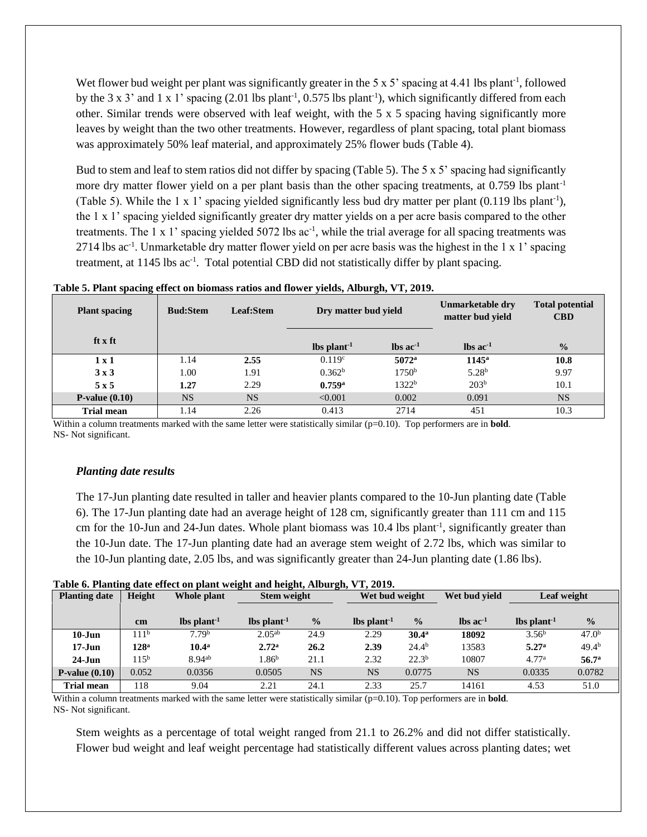Wet flower bud weight per plant was significantly greater in the 5 x 5' spacing at 4.41 lbs plant<sup>-1</sup>, followed by the 3 x 3' and 1 x 1' spacing  $(2.01 \text{ lbs plant}^{-1}, 0.575 \text{ lbs plant}^{-1})$ , which significantly differed from each other. Similar trends were observed with leaf weight, with the 5 x 5 spacing having significantly more leaves by weight than the two other treatments. However, regardless of plant spacing, total plant biomass was approximately 50% leaf material, and approximately 25% flower buds (Table 4).

Bud to stem and leaf to stem ratios did not differ by spacing (Table 5). The 5 x 5' spacing had significantly more dry matter flower yield on a per plant basis than the other spacing treatments, at 0.759 lbs plant<sup>-1</sup> (Table 5). While the 1 x 1' spacing yielded significantly less bud dry matter per plant (0.119 lbs plant<sup>-1</sup>), the 1 x 1' spacing yielded significantly greater dry matter yields on a per acre basis compared to the other treatments. The 1 x 1' spacing yielded 5072 lbs ac<sup>-1</sup>, while the trial average for all spacing treatments was 2714 lbs ac<sup>-1</sup>. Unmarketable dry matter flower yield on per acre basis was the highest in the 1 x 1' spacing treatment, at 1145 lbs ac<sup>-1</sup>. Total potential CBD did not statistically differ by plant spacing.

| <b>Plant spacing</b> | <b>Bud:Stem</b> | Leaf:Stem | Dry matter bud yield     |                                  | Unmarketable dry<br>matter bud yield | <b>Total potential</b><br><b>CBD</b> |
|----------------------|-----------------|-----------|--------------------------|----------------------------------|--------------------------------------|--------------------------------------|
| ft x ft              |                 |           | $\text{ lbs plant}^{-1}$ | $\rm{lbs}\, \rm{ac}^{\text{-}1}$ | $\ln$ s ac <sup>-1</sup>             | $\frac{0}{0}$                        |
| $1 \times 1$         | 1.14            | 2.55      | 0.119 <sup>c</sup>       | $5072^{\rm a}$                   | $1145^{\rm a}$                       | 10.8                                 |
| 3x3                  | 1.00            | 1.91      | 0.362 <sup>b</sup>       | 1750 <sup>b</sup>                | 5.28 <sup>b</sup>                    | 9.97                                 |
| 5x5                  | 1.27            | 2.29      | 0.759a                   | 1322 <sup>b</sup>                | 203 <sup>b</sup>                     | 10.1                                 |
| $P-value(0.10)$      | <b>NS</b>       | <b>NS</b> | < 0.001                  | 0.002                            | 0.091                                | <b>NS</b>                            |
| <b>Trial mean</b>    | 1.14            | 2.26      | 0.413                    | 2714                             | 451                                  | 10.3                                 |

 **Table 5. Plant spacing effect on biomass ratios and flower yields, Alburgh, VT, 2019.** 

Within a column treatments marked with the same letter were statistically similar (p=0.10). Top performers are in **bold**. NS- Not significant.

## *Planting date results*

The 17-Jun planting date resulted in taller and heavier plants compared to the 10-Jun planting date (Table 6). The 17-Jun planting date had an average height of 128 cm, significantly greater than 111 cm and 115 cm for the 10-Jun and 24-Jun dates. Whole plant biomass was 10.4 lbs plant<sup>-1</sup>, significantly greater than the 10-Jun date. The 17-Jun planting date had an average stem weight of 2.72 lbs, which was similar to the 10-Jun planting date, 2.05 lbs, and was significantly greater than 24-Jun planting date (1.86 lbs).

|  |  | Table 6. Planting date effect on plant weight and height, Alburgh, VT, 2019. |
|--|--|------------------------------------------------------------------------------|
|  |  |                                                                              |

| <b>Planting date</b> | Height            | Whole plant               | <b>Stem weight</b> |               | Wet bud weight |                   | Wet bud vield            | Leaf weight                    |                   |
|----------------------|-------------------|---------------------------|--------------------|---------------|----------------|-------------------|--------------------------|--------------------------------|-------------------|
|                      |                   | $lbs$ plant <sup>-1</sup> |                    | $\frac{0}{0}$ |                | $\frac{0}{0}$     | $\ln$ s ac <sup>-1</sup> |                                | $\frac{0}{0}$     |
|                      | cm                |                           | $lbs plant-1$      |               | $lbs plant-1$  |                   |                          | $\rm{lbs}$ plant <sup>-1</sup> |                   |
| $10$ -Jun            | 111 <sup>b</sup>  | 7.79 <sup>b</sup>         | $2.05^{ab}$        | 24.9          | 2.29           | 30.4 <sup>a</sup> | 18092                    | 3.56 <sup>b</sup>              | 47.0 <sup>b</sup> |
| $17 - Jun$           | 128 <sup>a</sup>  | $10.4^{\rm a}$            | 2.72 <sup>a</sup>  | 26.2          | 2.39           | $24.4^{b}$        | 13583                    | 5.27 <sup>a</sup>              | $49.4^{b}$        |
| $24$ -Jun            | 11.5 <sup>b</sup> | 8.94ab                    | 1.86 <sup>b</sup>  | 21.1          | 2.32           | $22.3^{b}$        | 10807                    | 4.77 <sup>a</sup>              | 56.7 <sup>a</sup> |
| $P-value(0.10)$      | 0.052             | 0.0356                    | 0.0505             | <b>NS</b>     | <b>NS</b>      | 0.0775            | <b>NS</b>                | 0.0335                         | 0.0782            |
| <b>Trial mean</b>    | 118               | 9.04                      | 2.21               | 24.1          | 2.33           | 25.7              | 14161                    | 4.53                           | 51.0              |

Within a column treatments marked with the same letter were statistically similar (p=0.10). Top performers are in **bold**. NS- Not significant.

Stem weights as a percentage of total weight ranged from 21.1 to 26.2% and did not differ statistically. Flower bud weight and leaf weight percentage had statistically different values across planting dates; wet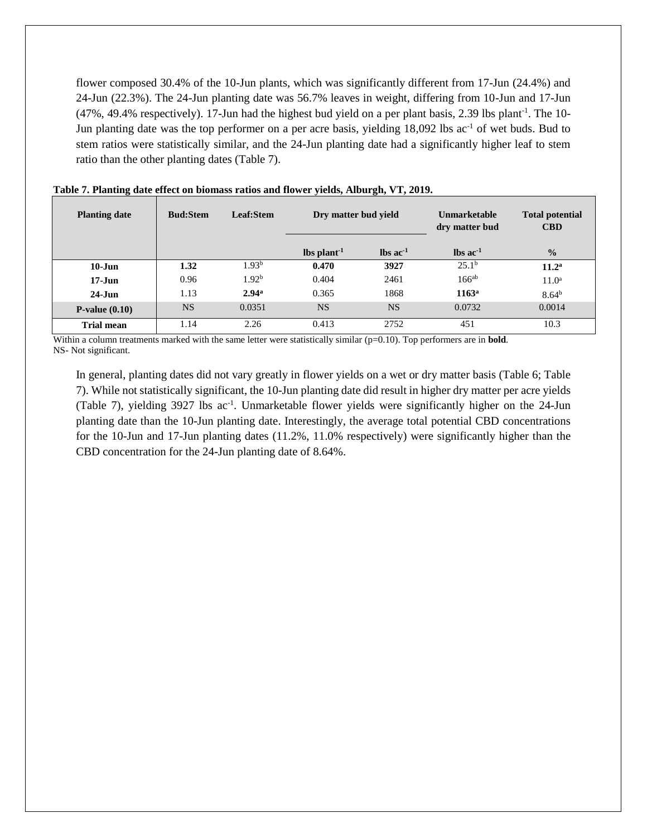flower composed 30.4% of the 10-Jun plants, which was significantly different from 17-Jun (24.4%) and 24-Jun (22.3%). The 24-Jun planting date was 56.7% leaves in weight, differing from 10-Jun and 17-Jun  $(47\%, 49.4\%$  respectively). 17-Jun had the highest bud yield on a per plant basis, 2.39 lbs plant<sup>-1</sup>. The 10-Jun planting date was the top performer on a per acre basis, yielding 18,092 lbs ac<sup>-1</sup> of wet buds. Bud to stem ratios were statistically similar, and the 24-Jun planting date had a significantly higher leaf to stem ratio than the other planting dates (Table 7).

| <b>Planting date</b> | <b>Bud:Stem</b> | Leaf:Stem         | Dry matter bud yield |                               | <b>Unmarketable</b><br>dry matter bud | <b>Total potential</b><br><b>CBD</b> |
|----------------------|-----------------|-------------------|----------------------|-------------------------------|---------------------------------------|--------------------------------------|
|                      |                 |                   | $\ln \frac{1}{1}$    | $\text{lbs}$ ac <sup>-1</sup> | $\text{lbs}$ ac <sup>-1</sup>         | $\frac{0}{0}$                        |
| $10$ -Jun            | 1.32            | 1.93 <sup>b</sup> | 0.470                | 3927                          | 25.1 <sup>b</sup>                     | 11.2 <sup>a</sup>                    |
| $17 - Jun$           | 0.96            | 1.92 <sup>b</sup> | 0.404                | 2461                          | $166^{ab}$                            | $11.0^a$                             |
| $24 - Jun$           | 1.13            | 2.94 <sup>a</sup> | 0.365                | 1868                          | $1163^a$                              | 8.64 <sup>b</sup>                    |
| $P-value(0.10)$      | <b>NS</b>       | 0.0351            | <b>NS</b>            | <b>NS</b>                     | 0.0732                                | 0.0014                               |
| <b>Trial mean</b>    | 1.14            | 2.26              | 0.413                | 2752                          | 451                                   | 10.3                                 |

**Table 7. Planting date effect on biomass ratios and flower yields, Alburgh, VT, 2019.** 

Within a column treatments marked with the same letter were statistically similar (p=0.10). Top performers are in **bold**. NS- Not significant.

In general, planting dates did not vary greatly in flower yields on a wet or dry matter basis (Table 6; Table 7). While not statistically significant, the 10-Jun planting date did result in higher dry matter per acre yields (Table 7), yielding 3927 lbs ac<sup>-1</sup>. Unmarketable flower yields were significantly higher on the 24-Jun planting date than the 10-Jun planting date. Interestingly, the average total potential CBD concentrations for the 10-Jun and 17-Jun planting dates (11.2%, 11.0% respectively) were significantly higher than the CBD concentration for the 24-Jun planting date of 8.64%.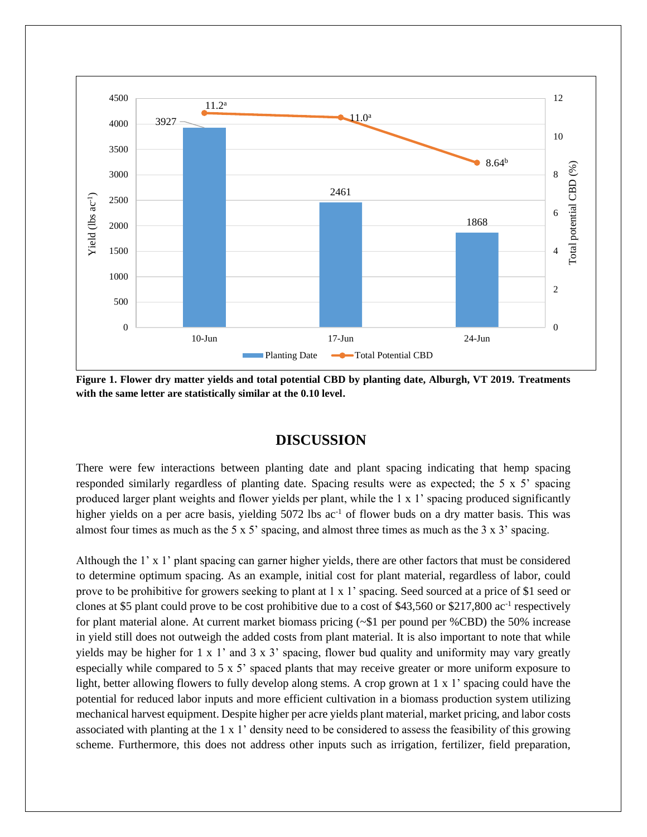

**Figure 1. Flower dry matter yields and total potential CBD by planting date, Alburgh, VT 2019. Treatments with the same letter are statistically similar at the 0.10 level.** 

## **DISCUSSION**

There were few interactions between planting date and plant spacing indicating that hemp spacing responded similarly regardless of planting date. Spacing results were as expected; the 5 x 5' spacing produced larger plant weights and flower yields per plant, while the 1 x 1' spacing produced significantly higher yields on a per acre basis, yielding 5072 lbs ac<sup>-1</sup> of flower buds on a dry matter basis. This was almost four times as much as the 5 x 5' spacing, and almost three times as much as the 3 x 3' spacing.

Although the 1' x 1' plant spacing can garner higher yields, there are other factors that must be considered to determine optimum spacing. As an example, initial cost for plant material, regardless of labor, could prove to be prohibitive for growers seeking to plant at 1 x 1' spacing. Seed sourced at a price of \$1 seed or clones at \$5 plant could prove to be cost prohibitive due to a cost of \$43,560 or \$217,800  $ac^{-1}$  respectively for plant material alone. At current market biomass pricing (~\$1 per pound per %CBD) the 50% increase in yield still does not outweigh the added costs from plant material. It is also important to note that while yields may be higher for 1 x 1' and 3 x 3' spacing, flower bud quality and uniformity may vary greatly especially while compared to 5 x 5' spaced plants that may receive greater or more uniform exposure to light, better allowing flowers to fully develop along stems. A crop grown at 1 x 1' spacing could have the potential for reduced labor inputs and more efficient cultivation in a biomass production system utilizing mechanical harvest equipment. Despite higher per acre yields plant material, market pricing, and labor costs associated with planting at the 1 x 1' density need to be considered to assess the feasibility of this growing scheme. Furthermore, this does not address other inputs such as irrigation, fertilizer, field preparation,